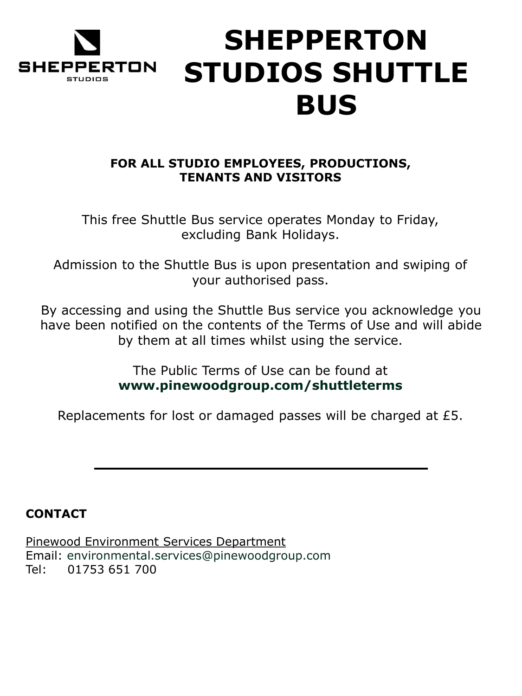

# **SHEPPERTON STUDIOS SHUTTLE BUS**

# **FOR ALL STUDIO EMPLOYEES, PRODUCTIONS, TENANTS AND VISITORS**

This free Shuttle Bus service operates Monday to Friday, excluding Bank Holidays.

Admission to the Shuttle Bus is upon presentation and swiping of your authorised pass.

By accessing and using the Shuttle Bus service you acknowledge you have been notified on the contents of the Terms of Use and will abide by them at all times whilst using the service.

> The Public Terms of Use can be found at **www.pinewoodgroup.com/shuttleterms**

Replacements for lost or damaged passes will be charged at £5.

# **CONTACT**

Pinewood Environment Services Department Email: environmental.services@pinewoodgroup.com Tel: 01753 651 700